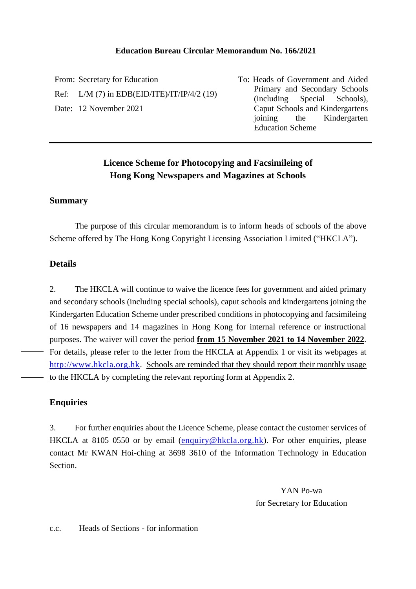#### **Education Bureau Circular Memorandum No. 166/2021**

From: Secretary for Education Ref: L/M (7) in EDB(EID/ITE)/IT/IP/4/2 (19) Date: 12 November 2021

To: Heads of Government and Aided Primary and Secondary Schools (including Special Schools), Caput Schools and Kindergartens joining the Kindergarten Education Scheme

### **Licence Scheme for Photocopying and Facsimileing of Hong Kong Newspapers and Magazines at Schools**

#### **Summary**

The purpose of this circular memorandum is to inform heads of schools of the above Scheme offered by The Hong Kong Copyright Licensing Association Limited ("HKCLA").

#### **Details**

2. The HKCLA will continue to waive the licence fees for government and aided primary and secondary schools (including special schools), caput schools and kindergartens joining the Kindergarten Education Scheme under prescribed conditions in photocopying and facsimileing of 16 newspapers and 14 magazines in Hong Kong for internal reference or instructional purposes. The waiver will cover the period **from 15 November 2021 to 14 November 2022**. For details, please refer to the letter from the HKCLA at Appendix 1 or visit its webpages at [http://www.hkcla.org.hk.](http://www.hkcla.org.hk/) Schools are reminded that they should report their monthly usage to the HKCLA by completing the relevant reporting form at Appendix 2.

#### **Enquiries**

3. For further enquiries about the Licence Scheme, please contact the customer services of HKCLA at 8105 0550 or by email [\(enquiry@hkcla.org.hk\)](mailto:enquiry@hkcla.org.hk). For other enquiries, please contact Mr KWAN Hoi-ching at 3698 3610 of the Information Technology in Education Section.

> YAN Po-wa for Secretary for Education

#### c.c. Heads of Sections - for information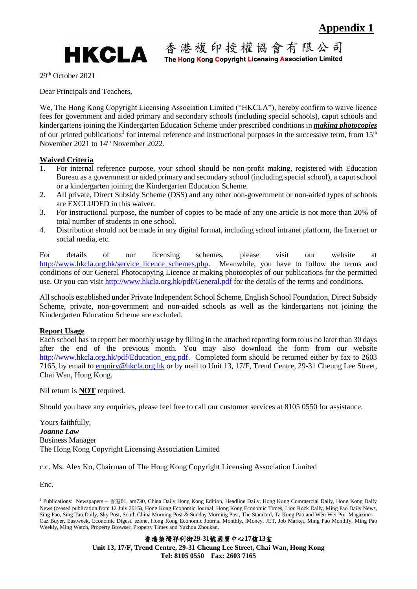

29th October 2021

Dear Principals and Teachers,

We, The Hong Kong Copyright Licensing Association Limited ("HKCLA"), hereby confirm to waive licence fees for government and aided primary and secondary schools (including special schools), caput schools and kindergartens joining the Kindergarten Education Scheme under prescribed conditions in *making photocopies* of our printed publications<sup>1</sup> for internal reference and instructional purposes in the successive term, from  $15<sup>th</sup>$ November 2021 to 14<sup>th</sup> November 2022.

#### **Waived Criteria**

- 1. For internal reference purpose, your school should be non-profit making, registered with Education Bureau as a government or aided primary and secondary school (including special school), a caput school or a kindergarten joining the Kindergarten Education Scheme.
- 2. All private, Direct Subsidy Scheme (DSS) and any other non-government or non-aided types of schools are EXCLUDED in this waiver.
- 3. For instructional purpose, the number of copies to be made of any one article is not more than 20% of total number of students in one school.
- 4. Distribution should not be made in any digital format, including school intranet platform, the Internet or social media, etc.

For details of our licensing schemes, please visit our website at [http://www.hkcla.org.hk/service\\_licence\\_schemes.php.](http://www.hkcla.org.hk/service_licence_schemes.php) Meanwhile, you have to follow the terms and conditions of our General Photocopying Licence at making photocopies of our publications for the permitted use. Or you can visit<http://www.hkcla.org.hk/pdf/General.pdf> for the details of the terms and conditions.

All schools established under Private Independent School Scheme, English School Foundation, Direct Subsidy Scheme, private, non-government and non-aided schools as well as the kindergartens not joining the Kindergarten Education Scheme are excluded.

#### **Report Usage**

Each school has to report her monthly usage by filling in the attached reporting form to us no later than 30 days after the end of the previous month. You may also download the form from our website [http://www.hkcla.org.hk/pdf/Education\\_eng.pdf.](http://www.hkcla.org.hk/pdf/Education_eng.pdf) Completed form should be returned either by fax to 2603 7165, by email to [enquiry@hkcla.org.hk](mailto:enquiry@hkcla.org.hk) or by mail to Unit 13, 17/F, Trend Centre, 29-31 Cheung Lee Street, Chai Wan, Hong Kong.

Nil return is **NOT** required.

Should you have any enquiries, please feel free to call our customer services at 8105 0550 for assistance.

Yours faithfully, *Joanne Law*  Business Manager The Hong Kong Copyright Licensing Association Limited

c.c. Ms. Alex Ko, Chairman of The Hong Kong Copyright Licensing Association Limited

Enc.

香港柴灣祥利街**29-31**號國貿中心**17**樓**13**室 **Unit 13, 17/F, Trend Centre, 29-31 Cheung Lee Street, Chai Wan, Hong Kong Tel: 8105 0550 Fax: 2603 7165**

<sup>1</sup> Publications: Newspapers – 香港01, am730, China Daily Hong Kong Edition, Headline Daily, Hong Kong Commercial Daily, Hong Kong Daily News (ceased publication from 12 July 2015), Hong Kong Economic Journal, Hong Kong Economic Times, Lion Rock Daily, Ming Pao Daily News, Sing Pao, Sing Tao Daily, Sky Post, South China Morning Post & Sunday Morning Post, The Standard, Ta Kung Pao and Wen Wei Po; Magazines – Caz Buyer, Eastweek, Economic Digest, ezone, Hong Kong Economic Journal Monthly, iMoney, JET, Job Market, Ming Pao Monthly, Ming Pao Weekly, Ming Watch, Property Browser, Property Times and Yazhou Zhoukan.